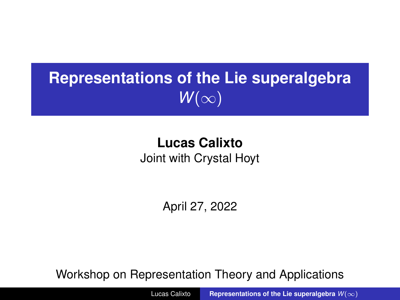## <span id="page-0-0"></span>**Representations of the Lie superalgebra**  $W(\infty)$

### **Lucas Calixto** Joint with Crystal Hoyt

April 27, 2022

Workshop on Representation Theory and Applications

Lucas Calixto **[Representations of the Lie superalgebra](#page-32-0)** *W*(∞)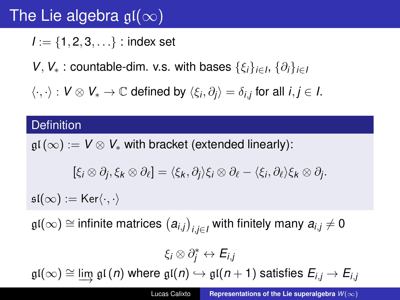## The Lie algebra  $gl(\infty)$

 $I = \{1, 2, 3, \ldots\}$ : index set

*V*, *V*<sup>\*</sup> : countable-dim. v.s. with bases  $\{\xi_i\}_{i\in I}$ ,  $\{\partial_i\}_{i\in I}$ 

 $\langle \cdot, \cdot \rangle$  :  $V \otimes V_* \to \mathbb{C}$  defined by  $\langle \xi_i, \partial_j \rangle = \delta_{i,j}$  for all  $i, j \in I$ .

#### **Definition**

 $\mathfrak{gl}(\infty) := V \otimes V_*$  with bracket (extended linearly):  $[\xi_i \otimes \partial_j, \xi_k \otimes \partial_\ell] = \langle \xi_k, \partial_j \rangle \xi_i \otimes \partial_\ell - \langle \xi_i, \partial_\ell \rangle \xi_k \otimes \partial_j.$ 

 $\mathfrak{sl}(\infty) := \mathsf{Ker}\langle \cdot,\cdot \rangle$ 

 $\mathfrak{gl}(\infty) \cong$  infinite matrices  $\big(a_{i,j}\big)_{i,j\in I}$  with finitely many  $a_{i,j}\neq 0$ 

 $\xi_i \otimes \partial_j^* \leftrightarrow E_{i,j}$  $\mathfrak{gl}(\infty) \cong \lim_{n \to \infty} \mathfrak{gl}(n)$  where  $\mathfrak{gl}(n) \hookrightarrow \mathfrak{gl}(n+1)$  satisfies  $E_{i,j} \to E_{i,j}$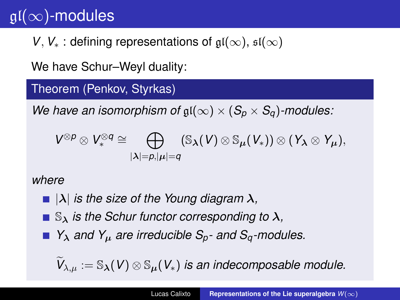## $\mathfrak{gl}(\infty)$ -modules

*V*, *V*<sup>∗</sup> : defining representations of  $\mathfrak{gl}(\infty)$ ,  $\mathfrak{sl}(\infty)$ 

We have Schur–Weyl duality:

Theorem (Penkov, Styrkas)

*We have an isomorphism of*  $\mathfrak{gl}(\infty) \times (S_p \times S_q)$ *-modules:* 

$$
V^{\otimes p} \otimes V_*^{\otimes q} \cong \bigoplus_{|\lambda|=p, |\mu|=q} (\mathbb{S}_{\lambda}(V) \otimes \mathbb{S}_{\mu}(V_*)) \otimes (Y_{\lambda} \otimes Y_{\mu}),
$$

#### *where*

- $\blacksquare$   $|\lambda|$  *is the size of the Young diagram*  $\lambda$ *,*
- $\blacksquare$   $\mathbb{S}_{\lambda}$  *is the Schur functor corresponding to*  $\lambda$ *,*
- *Y*<sup>λ</sup> *and Y*<sup>µ</sup> *are irreducible Sp and Sq-modules.*

 $\widetilde{V}_{\lambda,\mu} := \mathbb{S}_{\boldsymbol{\lambda}}(V) \otimes \mathbb{S}_{\mu}(V_*)$  *is an indecomposable module.*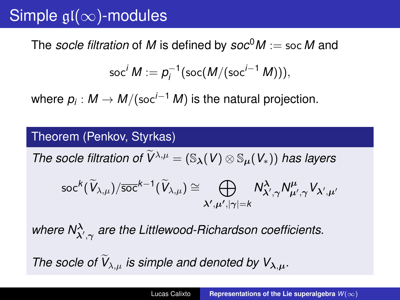## Simple  $\mathfrak{gl}(\infty)$ -modules

The *socle filtration* of *M* is defined by  $soc^0M := socM$  and

$$
\operatorname{soc}^i M := p_i^{-1}(\operatorname{soc}(M/(\operatorname{soc}^{i-1} M))),
$$

where  $p_i: M \to M/({\sf soc}^{i-1} \, M)$  is the natural projection.

#### Theorem (Penkov, Styrkas)

*The socle filtration of*  $\widetilde{V}^{\lambda,\mu} = (\mathbb{S}_{\lambda}(V) \otimes \mathbb{S}_{\mu}(V_*))$  *has layers* 

$$
{\rm soc}^k(\widetilde{V}_{\lambda,\mu})/\overline{{\rm soc}}^{k-1}(\widetilde{V}_{\lambda,\mu})\cong\bigoplus_{\lambda',\mu',|\gamma|=k}N_{\lambda',\gamma}^\lambda N_{\mu',\gamma}^\mu V_{\lambda',\mu'}
$$

where  $\mathsf{N}^\lambda_{\lambda',\gamma}$  are the Littlewood-Richardson coefficients. *The socle of*  $V_{\lambda,\mu}$  *is simple and denoted by*  $V_{\lambda,\mu}$ *.*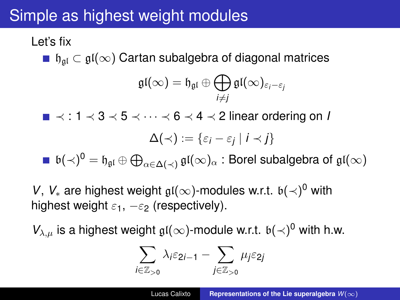## Simple as highest weight modules

### Let's fix

**■**  $\mathfrak{h}_{\mathfrak{a}l} \subset \mathfrak{gl}(\infty)$  Cartan subalgebra of diagonal matrices

$$
\mathfrak{gl}(\infty)=\mathfrak{h}_{\mathfrak{gl}}\oplus\bigoplus_{i\neq j}\mathfrak{gl}(\infty)_{\varepsilon_i-\varepsilon_j}
$$

≺ : 1 ≺ 3 ≺ 5 ≺ · · · ≺ 6 ≺ 4 ≺ 2 linear ordering on *I*

$$
\Delta(\prec):=\{\varepsilon_i-\varepsilon_j\mid i\prec j\}
$$

 $\mathfrak{b}(\prec)^0 = \mathfrak{h}_{\mathfrak{gl}} \oplus \bigoplus_{\alpha \in \Delta(\prec)} \mathfrak{gl}(\infty)_\alpha$  : Borel subalgebra of  $\mathfrak{gl}(\infty)$ 

*V*, *V*<sub>∗</sub> are highest weight  $\mathfrak{gl}(\infty)$ -modules w.r.t.  $\mathfrak{b}(\prec)^0$  with highest weight  $\varepsilon_1$ ,  $-\varepsilon_2$  (respectively).

 $V_{\lambda,\mu}$  is a highest weight  $\mathfrak{gl}(\infty)$ -module w.r.t.  $\mathfrak{b}(\prec)^0$  with h.w.

$$
\sum_{i\in\mathbb{Z}_{>0}}\lambda_i\varepsilon_{2i-1}-\sum_{j\in\mathbb{Z}_{>0}}\mu_j\varepsilon_{2j}
$$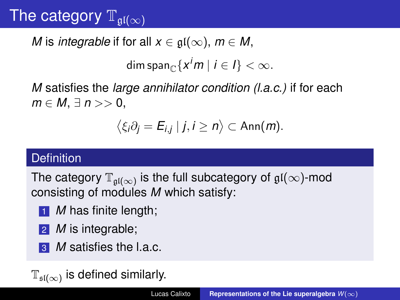## The category  $\mathbb{T}_{\mathfrak{gl}(\infty)}$

*M* is *integrable* if for all  $x \in \mathfrak{gl}(\infty)$ ,  $m \in M$ ,

dim span $_{\mathbb{C}}\{ \textsf{x}^{i}$ *m*  $\mid$   $i\in I\}<\infty.$ 

*M* satisfies the *large annihilator condition (l.a.c.)* if for each *m* ∈ *M*, ∃ *n* >> 0,

$$
\langle \xi_i \partial_j = E_{i,j} \mid j, i \geq n \rangle \subset \text{Ann}(m).
$$

#### **Definition**

The category  $\mathbb{T}_{\mathfrak{gl}(\infty)}$  is the full subcategory of  $\mathfrak{gl}(\infty)$ -mod consisting of modules *M* which satisfy:

- **1** *M* has finite length;
- 2 *M* is integrable;
- **3** *M* satisfies the l.a.c.

 $\mathbb{T}_{\mathfrak{sl}(\infty)}$  is defined similarly.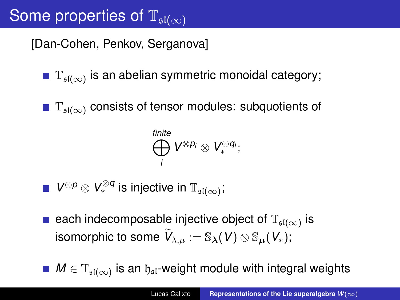## Some properties of  $\mathbb{T}_{\mathfrak{sl}(\infty)}$

[Dan-Cohen, Penkov, Serganova]

- $\mathbb{T}_{\mathfrak{sl}(\infty)}$  is an abelian symmetric monoidal category;
- $\mathbb{T}_{\mathfrak{sl}(\infty)}$  consists of tensor modules: subquotients of

$$
\bigoplus_i^{finite} V^{\otimes p_i} \otimes V_*^{\otimes q_i};
$$

- $V^{\otimes p} \otimes V_*^{\otimes q}$  is injective in  $\mathbb{T}_{\mathfrak{sl}(\infty)}$ ;
- each indecomposable injective object of  $\mathbb{T}_{\mathfrak{sl}(\infty)}$  is isomorphic to some  $\widetilde{V}_{\lambda,\mu} := \mathbb{S}_{\boldsymbol{\lambda}}(V) \otimes \mathbb{S}_{\mu}(V_*);$

 $M \in \mathbb{T}_{\mathfrak{sl}(\infty)}$  is an  $\mathfrak{h}_{\mathfrak{sl}}$ -weight module with integral weights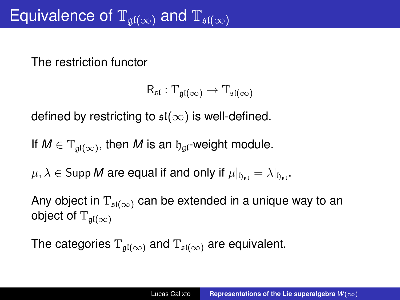The restriction functor

$$
\mathsf{R}_{\mathfrak{sl}}: \mathbb{T}_{\mathfrak{gl}(\infty)} \rightarrow \mathbb{T}_{\mathfrak{sl}(\infty)}
$$

defined by restricting to  $\mathfrak{sl}(\infty)$  is well-defined.

If  $M \in \mathbb{T}_{\mathfrak{gl}(\infty)}$ , then  $M$  is an  $\mathfrak{h}_{\mathfrak{gl}}$ -weight module.

 $\mu, \lambda \in \text{Supp } M$  are equal if and only if  $\mu|_{h_{\text{ext}}} = \lambda|_{h_{\text{ext}}}$ .

Any object in  $\mathbb{T}_{\mathfrak{sl}(\infty)}$  can be extended in a unique way to an object of  $\mathbb{T}_{\mathfrak{gl}(\infty)}$ 

The categories  $\mathbb{T}_{\mathfrak{gl}(\infty)}$  and  $\mathbb{T}_{\mathfrak{sl}(\infty)}$  are equivalent.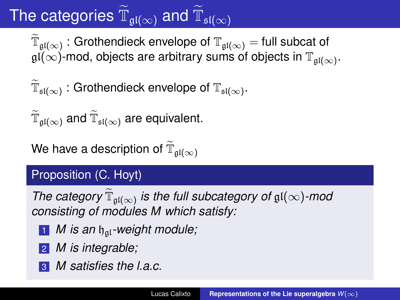# The categories  $\widetilde{\mathbb{T}}_{\mathfrak{gl}(\infty)}$  and  $\widetilde{\mathbb{T}}_{\mathfrak{sl}(\infty)}$

 $\widetilde{\mathbb{T}}_{\mathfrak{gl}(\infty)}$ : Grothendieck envelope of  $\mathbb{T}_{\mathfrak{gl}(\infty)}$  = full subcat of  $\mathfrak{gl}(\infty)$ -mod, objects are arbitrary sums of objects in  $\mathbb{T}_{\mathfrak{gl}(\infty)}.$ 

$$
\widetilde{\mathbb{T}}_{\mathfrak{sl}(\infty)} : \text{Grothendieck envelope of } \mathbb{T}_{\mathfrak{sl}(\infty)}.
$$

 $\widetilde{\mathbb{T}}_{\mathfrak{gl}(\infty)}$  and  $\widetilde{\mathbb{T}}_{\mathfrak{sl}(\infty)}$  are equivalent.

We have a description of  $\widetilde{\mathbb{T}}_{\mathfrak{gl}(\infty)}$ 

#### Proposition (C. Hoyt)

*The category*  $\widetilde{\mathbb{T}}_{\mathfrak{gl}(\infty)}$  *is the full subcategory of*  $\mathfrak{gl}(\infty)$ *-mod consisting of modules M which satisfy:*

- **1** *M* is an  $\mathfrak{h}_{\mathfrak{a} \mathfrak{l}}$ -weight module;
- 2 *M is integrable;*
- 3 *M satisfies the l.a.c.*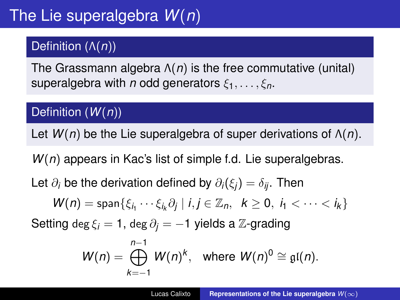### Definition (Λ(*n*))

The Grassmann algebra Λ(*n*) is the free commutative (unital) superalgebra with *n* odd generators  $\xi_1, \ldots, \xi_n$ .

#### Definition (*W*(*n*))

Let *W*(*n*) be the Lie superalgebra of super derivations of Λ(*n*).

*W*(*n*) appears in Kac's list of simple f.d. Lie superalgebras.

Let  $\partial_i$  be the derivation defined by  $\partial_i(\xi_i) = \delta_{ii}$ . Then

$$
W(n) = \text{span}\{\xi_{i_1}\cdots\xi_{i_k}\partial_j \mid i,j\in\mathbb{Z}_n, k\geq 0, i_1 < \cdots < i_k\}
$$

Setting deg  $\xi_i = 1$ , deg  $\partial_i = -1$  yields a  $\mathbb{Z}$ -grading

$$
W(n) = \bigoplus_{k=-1}^{n-1} W(n)^k, \text{ where } W(n)^0 \cong \mathfrak{gl}(n).
$$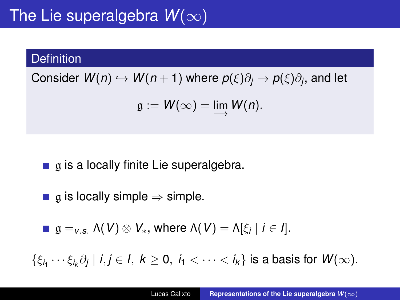## The Lie superalgebra  $W(\infty)$

#### **Definition**

 $\mathsf{Consider}\;\mathsf{W}(n)\hookrightarrow\mathsf{W}(n+1)$  where  $p(\xi)\partial_j\to p(\xi)\partial_j,$  and let

$$
\mathfrak{g}:=W(\infty)=\lim_{\longrightarrow}W(n).
$$

 $\blacksquare$  a is a locally finite Lie superalgebra.

**g** a is locally simple  $\Rightarrow$  simple.

$$
\blacksquare \mathfrak{g} =_{v.s.} \Lambda(V) \otimes V_*, \text{ where } \Lambda(V) = \Lambda[\xi_i \mid i \in I].
$$

 $\{\xi_{i_1}\cdots\xi_{i_k}\partial_j\mid i,j\in I,\ k\geq 0,\ i_1<\cdots< i_k\}$  is a basis for  $W(\infty).$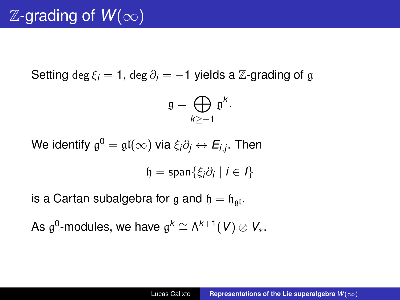Setting deg  $\xi_i = 1$ , deg  $\partial_i = -1$  yields a  $\mathbb{Z}$ -grading of g

$$
\mathfrak{g}=\bigoplus_{k\geq -1}\mathfrak{g}^k.
$$

We identify  $\mathfrak{g}^0 = \mathfrak{gl}(\infty)$  via  $\xi_i \partial_j \leftrightarrow E_{i,j}.$  Then

$$
\mathfrak{h}=\text{span}\{\xi_i\partial_i\mid i\in I\}
$$

is a Cartan subalgebra for g and  $\mathfrak{h} = \mathfrak{h}_{\mathfrak{a}l}$ .

As  $\mathfrak{g}^0$ -modules, we have  $\mathfrak{g}^k \cong \wedge^{k+1}(V) \otimes V_*$ .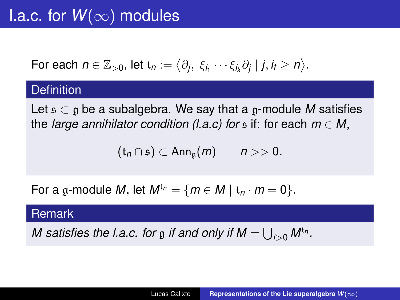## l.a.c. for  $W(\infty)$  modules

For each 
$$
n \in \mathbb{Z}_{>0}
$$
, let  $t_n := \langle \partial_j, \xi_{i_1} \cdots \xi_{i_k} \partial_j | j, i_t \ge n \rangle$ .

#### **Definition**

Let  $\mathfrak{s} \subset \mathfrak{g}$  be a subalgebra. We say that a  $\mathfrak{g}\text{-module }M$  satisfies the *large annihilator condition (l.a.c)* for  $\epsilon$  if: for each  $m \in M$ ,

$$
(\mathfrak{t}_n \cap \mathfrak{s}) \subset \mathrm{Ann}_{\mathfrak{g}}(m) \qquad n >> 0.
$$

For a g-module *M*, let  $M^{t_n} = \{m \in M \mid t_n \cdot m = 0\}$ .

#### Remark

*M* satisfies the l.a.c. for  $\frak{g}$  if and only if  $M = \bigcup_{i>0} M^{\mathfrak{t}_n}$ .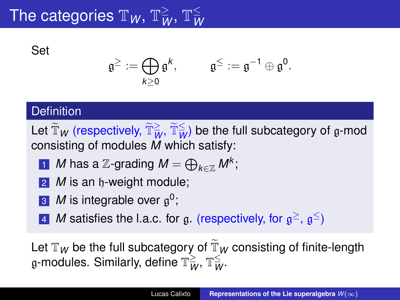#### The categories  $\mathbb{T}_W$ ,  $\mathbb{T}_W^{\geq}$ ,  $\mathbb{T}_W^{\leq}$ *W*

Set

$$
\mathfrak{g}^{\ge}:=\bigoplus_{k\geq 0}\mathfrak{g}^k,\qquad \ \mathfrak{g}^{\le}:=\mathfrak{g}^{-1}\oplus\mathfrak{g}^0.
$$

#### **Definition**

Let  $\widetilde{\mathbb{T}}_W$  (respectively,  $\widetilde{\mathbb{T}}_W^{\geq}, \widetilde{\mathbb{T}}_W^{\leq}$ ) be the full subcategory of  $\mathfrak g$ -mod consisting of modules *M* which satisfy:

**1** *M* has a *Z*-grading 
$$
M = \bigoplus_{k \in \mathbb{Z}} M^k
$$
;

- **2** *M* is an h-weight module;
- 3 *M* is integrable over g 0 ;
- 4 *M* satisfies the l.a.c. for g. (respectively, for  $g^{\ge}$ ,  $g^{\le}$ )

Let  $\mathbb{T}_W$  be the full subcategory of  $\mathbb{T}_W$  consisting of finite-length  $\frak{g}$ -modules. Similarly, define  $\mathbb{T}_W^{\geq}$ ,  $\mathbb{T}_W^{\leq}$ ,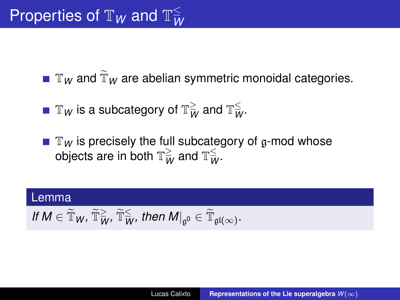$\blacksquare$   $\mathbb{T}_W$  and  $\widetilde{\mathbb{T}}_W$  are abelian symmetric monoidal categories.

 $\Bbb T_W$  is a subcategory of  $\Bbb T_W^{\geq}$  and  $\Bbb T_W^{\leq}$ .

 $\blacksquare$   $\mathbb{T}_W$  is precisely the full subcategory of g-mod whose objects are in both  $\mathbb{T}_W^{\geq}$  and  $\mathbb{T}_W^{\leq}$ .

## Lemma  $H M \in \widetilde{\mathbb{T}}_W$ ,  $\widetilde{\mathbb{T}}_W^{\geq}$ ,  $\widetilde{\mathbb{T}}_W^{\leq}$ , then  $M|_{\mathfrak{g}^0} \in \widetilde{\mathbb{T}}_{\mathfrak{gl}(\infty)}$ .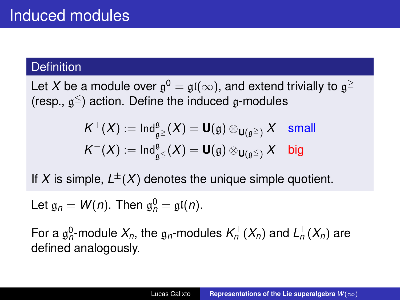#### **Definition**

Let  $X$  be a module over  $\mathfrak{g}^0 = \mathfrak{gl}(\infty),$  and extend trivially to  $\mathfrak{g}^{\geq}$ (resp.,  $\mathfrak{g}^{\leq}$ ) action. Define the induced  $\mathfrak{g}$ -modules

$$
K^+(X) := \operatorname{Ind}_{\mathfrak{g}^\preceq}^{\mathfrak{g}} (X) = \mathbf{U}(\mathfrak{g}) \otimes_{\mathbf{U}(\mathfrak{g}^\preceq)} X \quad \text{small}
$$

$$
K^-(X) := \operatorname{Ind}_{\mathfrak{g}^\preceq}^{\mathfrak{g}} (X) = \mathbf{U}(\mathfrak{g}) \otimes_{\mathbf{U}(\mathfrak{g}^\preceq)} X \quad \text{big}
$$

If X is simple,  $L^{\pm}(X)$  denotes the unique simple quotient.

Let  $\mathfrak{g}_n = W(n)$ . Then  $\mathfrak{g}_n^0 = \mathfrak{gl}(n)$ .

For a  $\mathfrak{g}_n^0$ -module  $X_n$ , the  $\mathfrak{g}_n$ -modules  $\mathcal{K}_n^{\pm}(X_n)$  and  $\mathcal{L}_n^{\pm}(X_n)$  are defined analogously.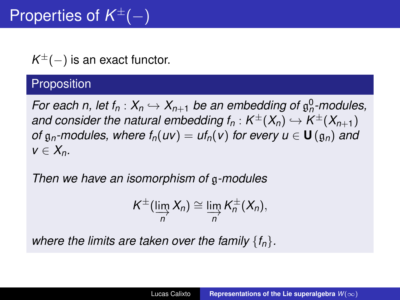$K^{\pm}(-)$  is an exact functor.

#### **Proposition**

*For each n, let*  $f_n: X_n \hookrightarrow X_{n+1}$  *be an embedding of*  $\mathfrak{g}_n^0$ *-modules,* and consider the natural embedding  $f_n: K^{\pm}(X_n) \hookrightarrow K^{\pm}(X_{n+1})$ *of*  $g_n$ -modules, where  $f_n(uv) = uf_n(v)$  for every  $u \in U(g_n)$  and  $v \in X_n$ .

*Then we have an isomorphism of* g*-modules*

$$
K^{\pm}(\varinjlim_{n} X_{n}) \cong \varinjlim_{n} K^{\pm}_{n} (X_{n}),
$$

*where the limits are taken over the family* {*fn*}*.*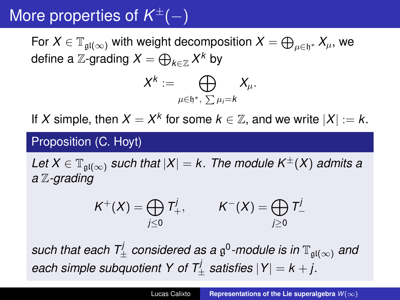## More properties of *K* <sup>±</sup>(−)

For  $X\in \mathbb{T}_{\mathfrak{gl}(\infty)}$  with weight decomposition  $X=\bigoplus_{\mu\in \mathfrak{h}^*} X_\mu,$  we define a  $\mathbb{Z}\text{-}\mathsf{grading}\;X = \bigoplus_{k\in\mathbb{Z}}X^k$  by

$$
X^k:=\bigoplus_{\mu\in\mathfrak{h}^*,\ \sum \mu_i=k}X_\mu.
$$

If *X* simple, then  $X = X^k$  for some  $k \in \mathbb{Z}$ , and we write  $|X| := k$ .

#### Proposition (C. Hoyt)

*Let*  $X \in \mathbb{T}_{\mathfrak{gl}(\infty)}$  *such that*  $|X| = k$ . The module  $K^{\pm}(X)$  *admits a a* Z*-grading*

$$
K^+(X) = \bigoplus_{j\leq 0} T^j_+, \qquad K^-(X) = \bigoplus_{j\geq 0} T^j_-
$$

 $s$ uch that each  $\mathcal{T}^j_{\pm}$  considered as a  $\mathfrak{g}^0$ -module is in  $\mathbb{T}_{\mathfrak{gl}(\infty)}$  and *each simple subquotient Y of*  $T^j_{\pm}$  *satisfies*  $|Y| = k + j$ .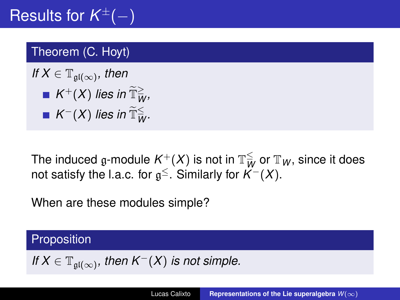## Results for *K* <sup>±</sup>(−)

#### Theorem (C. Hoyt)

$$
\begin{aligned} \text{If } X \in \mathbb{T}_{\mathfrak{gl}(\infty)}, \text{ then} \\ &= K^+(X) \text{ lies in } \widetilde{\mathbb{T}}_W^{\geq}, \\ &= K^-(X) \text{ lies in } \widetilde{\mathbb{T}}_W^{\leq}. \end{aligned}
$$

The induced  $\mathfrak{g}\text{-module }K^+(X)$  is not in  $\mathbb{T}_W^{\leq}$  or  $\mathbb{T}_W$ , since it does not satisfy the l.a.c. for  $\mathfrak{g}^{\le}$ . Similarly for  $\mathcal{K}^-(X)$ .

When are these modules simple?

#### Proposition

If 
$$
X \in \mathbb{T}_{\mathfrak{gl}(\infty)}
$$
, then  $K^-(X)$  is not simple.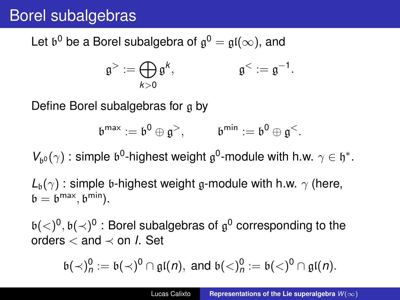### Borel subalgebras

Let  $\mathfrak{b}^0$  be a Borel subalgebra of  $\mathfrak{g}^0=\mathfrak{gl}(\infty),$  and

$$
\mathfrak{g}^>:=\bigoplus_{k>0}\mathfrak{g}^k,\qquad\qquad\mathfrak{g}^<:=\mathfrak{g}^{-1}.
$$

Define Borel subalgebras for  $q$  by

$$
\mathfrak{b}^{max}:=\mathfrak{b}^0\oplus\mathfrak{g}^>,\qquad \ \ \mathfrak{b}^{min}:=\mathfrak{b}^0\oplus\mathfrak{g}^<.
$$

 $V_{\mathfrak{b}^0}(\gamma)$ : simple  $\mathfrak{b}^0$ -highest weight  $\mathfrak{g}^0$ -module with h.w.  $\gamma \in \mathfrak{h}^*$ .

 $L_b(\gamma)$ : simple b-highest weight g-module with h.w.  $\gamma$  (here,  $\mathfrak{b} = \mathfrak{b}^{\text{max}}, \mathfrak{b}^{\text{min}}).$ 

 $\mathfrak{b}(<)0,\mathfrak{b}(\prec)^0$  : Borel subalgebras of  $\mathfrak{g}^0$  corresponding to the orders < and ≺ on *I*. Set

$$
\mathfrak{b}(\prec)_n^0:=\mathfrak{b}(\prec)^0\cap\mathfrak{gl}(n),\text{ and }\mathfrak{b}(\prec)_n^0:=\mathfrak{b}(\prec)^0\cap\mathfrak{gl}(n).
$$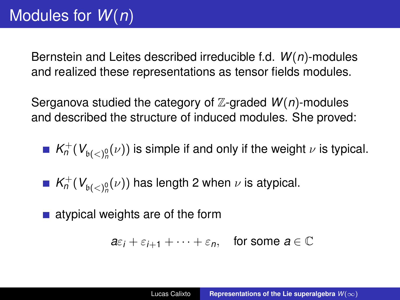Bernstein and Leites described irreducible f.d. *W*(*n*)-modules and realized these representations as tensor fields modules.

Serganova studied the category of Z-graded *W*(*n*)-modules and described the structure of induced modules. She proved:

- $\mathcal{K}_n^+$  ( $\mathcal{V}_{\mathfrak{b}(<)}{_{n}^{\mathfrak{h}}}(\nu)$ ) is simple if and only if the weight  $\nu$  is typical.
- $\mathcal{K}_n^+$  ( $\mathcal{V}_{\mathfrak{b}(<)}^0_p(\nu)$ ) has length 2 when  $\nu$  is atypical.
- $\blacksquare$  atypical weights are of the form

$$
a\varepsilon_i+\varepsilon_{i+1}+\cdots+\varepsilon_n, \quad \text{for some } a\in\mathbb{C}
$$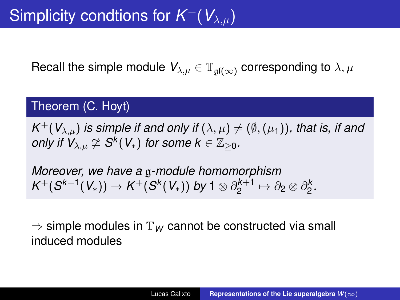Recall the simple module  $V_{\lambda,\mu} \in \mathbb{T}_{\mathfrak{gl}(\infty)}$  corresponding to  $\lambda, \mu$ 

#### Theorem (C. Hoyt)

 $\mathcal{K}^+(\mathcal{V}_{\lambda,\mu})$  *is simple if and only if*  $(\lambda,\mu)\neq (\emptyset,(\mu_1))$ *, that is, if and*  $\mathcal{O}$  *only if*  $V_{\lambda,\mu} \not\cong \mathcal{S}^k(V_*)$  *for some*  $k \in \mathbb{Z}_{\geq 0}$ *.* 

*Moreover, we have a* g*-module homomorphism*  $\mathsf{K}^+(\mathcal{S}^{k+1}(V_*)) \rightarrow \mathsf{K}^+(\mathcal{S}^k(V_*))$  by 1 ⊗  $\partial^{k+1}_2$  $\partial_2^{k+1} \mapsto \partial_2 \otimes \partial_2^k$ .

 $\Rightarrow$  simple modules in  $\mathbb{T}_W$  cannot be constructed via small induced modules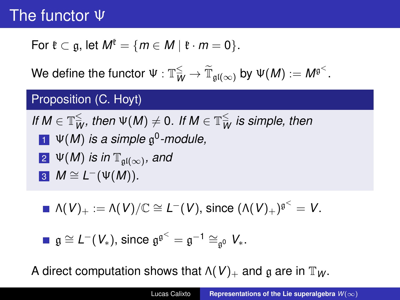### The functor Ψ

For 
$$
\mathfrak{k} \subset \mathfrak{g}
$$
, let  $M^{\mathfrak{k}} = \{m \in M \mid \mathfrak{k} \cdot m = 0\}$ .

We define the functor  $\Psi: \mathbb{T}_{W}^{\leq} \to \widetilde{\mathbb{T}}_{\mathfrak{gl}(\infty)}$  by  $\Psi(M) := M^{\mathfrak{g}^{<}}.$ 

#### Proposition (C. Hoyt)

If 
$$
M \in \mathbb{T}_{W}^{\le}
$$
, then  $\Psi(M) \neq 0$ . If  $M \in \mathbb{T}_{W}^{\le}$  is simple, then  
\n**1**  $\Psi(M)$  is a simple  $\mathfrak{g}^{0}$ -module,  
\n**2**  $\Psi(M)$  is in  $\mathbb{T}_{\mathfrak{gl}(\infty)}$ , and  
\n**3**  $M \cong L^{-}(\Psi(M))$ .

$$
\blacksquare \Lambda(V)_+ := \Lambda(V)/\mathbb{C} \cong L^-(V), \text{ since } (\Lambda(V)_+)^{\mathfrak{g}^<} = V.
$$

$$
\blacksquare \mathfrak{g} \cong L^-(V_*), \text{ since } \mathfrak{g}^{\mathfrak{g}^<} = \mathfrak{g}^{-1} \cong_{\mathfrak{g}^0} V_*.
$$

A direct computation shows that  $\Lambda(V)_+$  and g are in  $\mathbb{T}_W$ .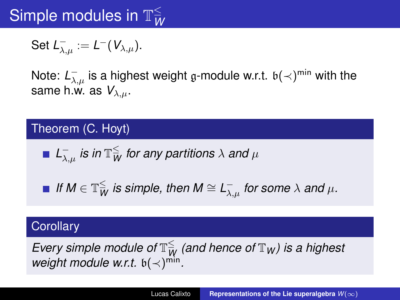#### Simple modules in  $\mathbb{T}^{\leq}_M$ *W*

$$
\operatorname{\mathsf{Set}}\nolimits L_{\lambda,\mu}^-:=L^-(V_{\lambda,\mu}).
$$

Note:  $L_{\lambda,\mu}^-$  is a highest weight g-module w.r.t.  $\mathfrak{b}(\prec)^{\min}$  with the same h.w. as  $V_{\lambda,\mu}$ .

#### Theorem (C. Hoyt)

$$
\blacksquare
$$
  $L_{\lambda,\mu}^-$  is in  $\mathbb{T}_W^{\leq}$  for any partitions  $\lambda$  and  $\mu$ 

*If M*  $\in \mathbb{T}_{W}^{\leq}$  *is simple, then M*  $\cong$  *L*<sub> $\lambda, \mu$ </sub> *for some*  $\lambda$  *and*  $\mu$ *.* 

#### **Corollary**

 $E$ very simple module of  $\mathbb{T}_{W}^{\leq}$  (and hence of  $\mathbb{T}_{W}$ ) is a highest *weight module w.r.t.*  $\mathfrak{b}(\prec)^{\min}$ *.*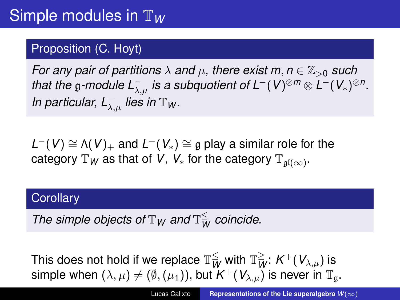#### Proposition (C. Hoyt)

*For any pair of partitions*  $\lambda$  *and*  $\mu$ , *there exist*  $m, n \in \mathbb{Z}_{>0}$  *such*  $t$ hat the  $\mathfrak{g}$ -module  $L_{\lambda,\mu}^-$  is a subquotient of  $\mathsf{L}^-(V)^{\otimes m} \otimes \mathsf{L}^-(V_*)^{\otimes n}.$ *In particular, L*<sub> $\lambda,\mu$ </sub> *lies in*  $\mathbb{T}_W$ *.* 

 $L^-(V) \cong \Lambda(V)_+$  and  $L^-(V_*) \cong \mathfrak{g}$  play a similar role for the category  $\mathbb{T}_W$  as that of *V*,  $\mathsf{V}_*$  for the category  $\mathbb{T}_{\mathfrak{gl}(\infty)}$ .

#### **Corollary**

*The simple objects of*  $\mathbb{T}_W$  *and*  $\mathbb{T}_{\overline{W}}^{\leq}$  *coincide.* 

This does not hold if we replace  $\mathbb{T}_{W}^{\leq}$  with  $\mathbb{T}_{W}^{\geq}$ :  $K^{+}(V_{\lambda,\mu})$  is simple when  $(\lambda,\mu)\neq(\emptyset,(\mu_{1})),$  but  $K^{+}(V_{\lambda,\mu})$  is never in  $\mathbb{T}_{\mathfrak{g}}.$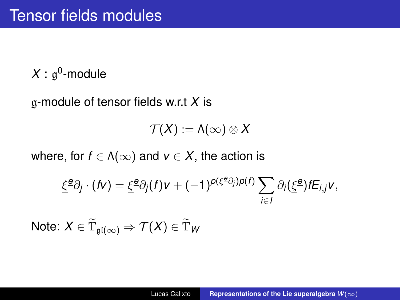$X:\mathfrak{g}^0\text{-module}$ 

g-module of tensor fields w.r.t *X* is

$$
\mathcal{T}(X):=\Lambda(\infty)\otimes X
$$

where, for  $f \in \Lambda(\infty)$  and  $v \in X$ , the action is

$$
\underline{\xi}^{\underline{\mathbf{e}}}\partial_j \cdot (f\mathbf{v}) = \underline{\xi}^{\underline{\mathbf{e}}}\partial_j(f)\mathbf{v} + (-1)^{p(\underline{\xi}^{\underline{\mathbf{e}}}\partial_j)p(f)}\sum_{i\in I}\partial_i(\underline{\xi}^{\underline{\mathbf{e}}})fE_{i,j}\mathbf{v},
$$

 $\mathsf{Note} \colon X \in \widetilde{\mathbb{T}}_{\mathfrak{gl}(\infty)} \Rightarrow \mathcal{T}(X) \in \widetilde{\mathbb{T}}_\mathcal{W}$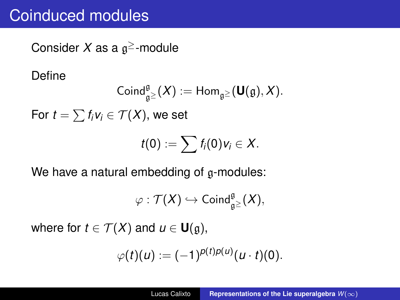### Coinduced modules

Consider *X* as a g <sup>≥</sup>-module

Define

$$
\operatorname{Coind}_{\mathfrak{g}^{\geq}}^{\mathfrak{g}}(X) := \operatorname{Hom}_{\mathfrak{g}^{\geq}}(\mathbf{U}(\mathfrak{g}), X).
$$
  
For  $t = \sum f_i v_i \in \mathcal{T}(X)$ , we set  

$$
t(0) := \sum f_i(0) v_i \in X.
$$

We have a natural embedding of g-modules:

$$
\varphi: \mathcal{T}(X) \hookrightarrow \mathsf{Coind}_{\mathfrak{g}^{\geq}}^{\mathfrak{g}}(X),
$$

where for  $t \in \mathcal{T}(X)$  and  $u \in \mathbf{U}(\mathfrak{g})$ ,

$$
\varphi(t)(u) := (-1)^{p(t)p(u)}(u \cdot t)(0).
$$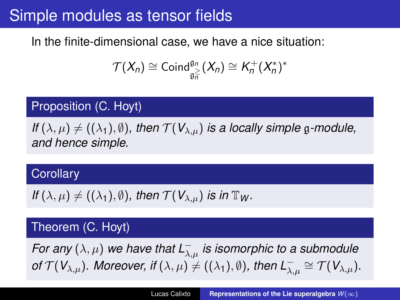### Simple modules as tensor fields

#### In the finite-dimensional case, we have a nice situation:

$$
\mathcal{T}(X_n) \cong \mathrm{Coind}_{\mathfrak{g}_n}^{\mathfrak{g}_n}(X_n) \cong K_n^+(X_n^*)^*
$$

#### Proposition (C. Hoyt)

*If*  $(\lambda, \mu) \neq ((\lambda_1), \emptyset)$ *, then*  $\mathcal{T}(V_{\lambda,\mu})$  *is a locally simple* g-module, *and hence simple.*

#### **Corollary**

If 
$$
(\lambda, \mu) \neq ((\lambda_1), \emptyset)
$$
, then  $\mathcal{T}(V_{\lambda, \mu})$  is in  $\mathbb{T}_W$ .

#### Theorem (C. Hoyt)

*For any*  $(\lambda, \mu)$  we have that  $L^{-}_{\lambda, \mu}$  is isomorphic to a submodule *of*  $\mathcal{T}(V_{\lambda,\mu})$ *. Moreover, if*  $(\lambda,\mu) \neq ((\lambda_1), \emptyset)$ *, then*  $L^{-}_{\lambda,\mu} \cong \mathcal{T}(V_{\lambda,\mu})$ *.*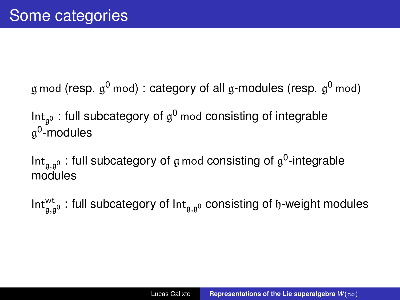$\frak{g}$  mod (resp.  $\frak{g}^0$  mod) : category of all  $\frak{g}$ -modules (resp.  $\frak{g}^0$  mod)

Int<sub>g</sub>o: full subcategory of  $\mathfrak{g}^0$  mod consisting of integrable g<sup>0</sup>-modules

Int<sub>g,g</sub>o: full subcategory of  $\frak{g}$  mod consisting of  $\frak{g}^0$ -integrable modules

Int $^{{\sf wt}}_{\mathfrak{g},\mathfrak{g}^0}$  : full subcategory of Int $_{\mathfrak{g},\mathfrak{g}^0}$  consisting of  $\mathfrak{h}$ -weight modules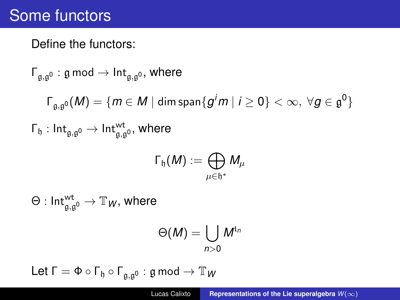### Some functors

#### Define the functors:

$$
\begin{aligned}\n\Gamma_{\mathfrak{g},\mathfrak{g}^0}: \mathfrak{g} \bmod \rightarrow \mathsf{Int}_{\mathfrak{g},\mathfrak{g}^0}, \text{ where} \\
\Gamma_{\mathfrak{g},\mathfrak{g}^0}(M)&=\{m\in M \mid \text{dim span}\{g^jm \mid i\geq 0\}<\infty, \ \forall g\in \mathfrak{g}^0\} \\
\Gamma_{\mathfrak{h}}: \mathsf{Int}_{\mathfrak{g},\mathfrak{g}^0}\rightarrow \mathsf{Int}_{\mathfrak{g},\mathfrak{g}^0}^{\mathsf{wt}}, \text{ where} \\
\Gamma_{\mathfrak{h}}(M)&:=\bigoplus_{\mu\in \mathfrak{h}^*}M_{\mu}\n\end{aligned}
$$

 $\Theta: \mathsf{Int}^{\mathsf{wt}}_{\mathfrak{g},\mathfrak{g}^0} \to \mathbb{T}_W,$  where

$$
\Theta(M) = \bigcup_{n>0} M^{t_n}
$$

Let  $\Gamma = \Phi \circ \Gamma_{\mathfrak{h}} \circ \Gamma_{\mathfrak{g}, \mathfrak{g}^0} : \mathfrak{g} \text{ mod } \rightarrow \mathbb{T}_W$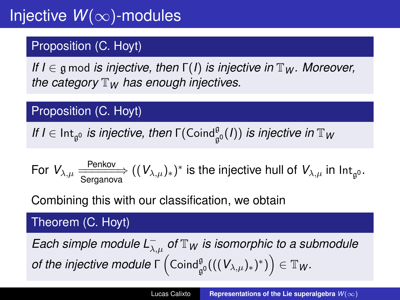#### Proposition (C. Hoyt)

*If I* ∈ g mod *is injective, then* Γ(*I*) *is injective in*  $\mathbb{T}_W$ *. Moreover, the category*  $\mathbb{T}_W$  *has enough injectives.* 

#### Proposition (C. Hoyt)

*If I*  $\in$  Int<sub>g</sub><sub>0</sub> *is injective, then*  $\Gamma(\operatorname{Coind}_{\mathfrak{g}^0}^{\mathfrak{g}}(I))$  *is injective in*  $\mathbb{T}_W$ 

For 
$$
V_{\lambda,\mu}
$$
  $\xrightarrow{\text{Penkov}} ((V_{\lambda,\mu})_*)^*$  is the injective hull of  $V_{\lambda,\mu}$  in  $\text{Int}_{\mathfrak{g}^0}$ .

Combining this with our classification, we obtain

#### Theorem (C. Hoyt)

*Each simple module L*<sup>−</sup> λ,µ *of* <sup>T</sup>*<sup>W</sup> is isomorphic to a submodule*  $\textit{of the injective module } \mathsf{\Gamma}\left( \mathsf{Coind}_{\mathfrak{g}^0}^{\mathfrak{g}}(((\mathcal{V}_{\lambda,\mu})_*)^*)\right) \in \mathbb{T}_W.$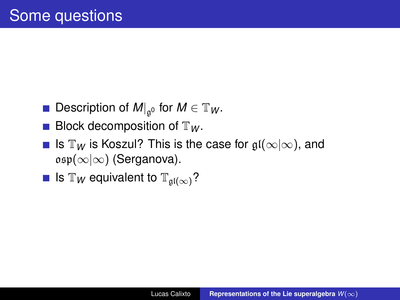- Description of  $M|_{\mathfrak{g}^0}$  for  $M \in \mathbb{T}_W$ .
- **Block decomposition of**  $\mathbb{T}_W$ **.**
- **■** Is  $\mathbb{T}_W$  is Koszul? This is the case for  $\mathfrak{gl}(\infty|\infty)$ , and  $\mathfrak{osp}(\infty|\infty)$  (Serganova).

**■** Is  $\mathbb{T}_W$  equivalent to  $\mathbb{T}_{qI(\infty)}$ ?